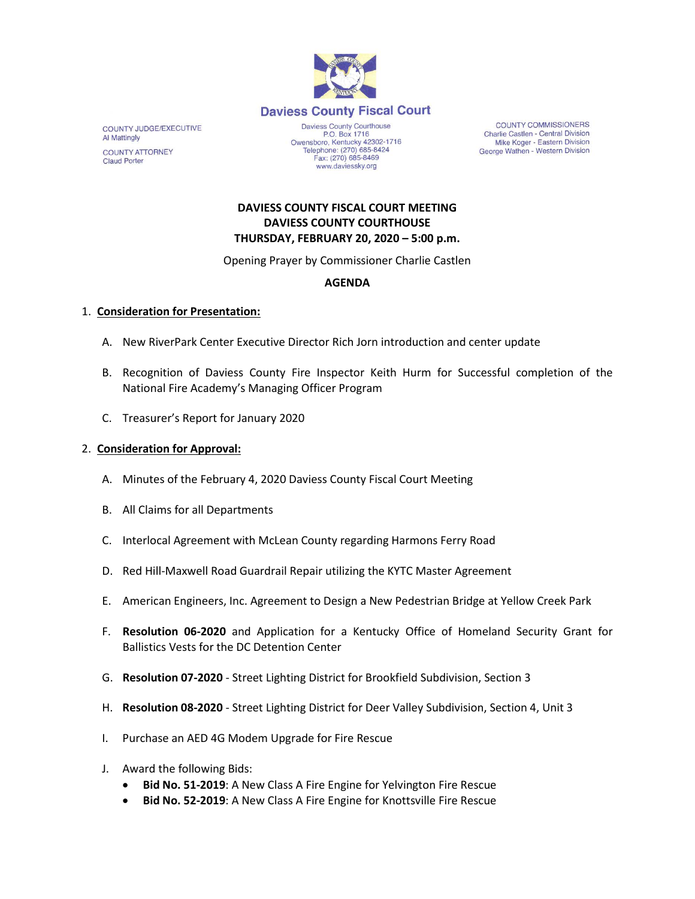

COUNTY JUDGE/EXECUTIVE **Al Mattingly COUNTY ATTORNEY Claud Porter** 

P.O. Box 1716 P.O. Box 1716<br>Owensboro, Kentucky 42302-1716<br>Telephone: (270) 685-8424 Fax: (270) 685-8469 www.daviessky.org

**COUNTY COMMISSIONERS** Charlie Castlen - Central Division Mike Koger - Eastern Division George Wathen - Western Division

## **DAVIESS COUNTY FISCAL COURT MEETING DAVIESS COUNTY COURTHOUSE THURSDAY, FEBRUARY 20, 2020 – 5:00 p.m.**

Opening Prayer by Commissioner Charlie Castlen

# **AGENDA**

#### 1. **Consideration for Presentation:**

- A. New RiverPark Center Executive Director Rich Jorn introduction and center update
- B. Recognition of Daviess County Fire Inspector Keith Hurm for Successful completion of the National Fire Academy's Managing Officer Program
- C. Treasurer's Report for January 2020

## 2. **Consideration for Approval:**

- A. Minutes of the February 4, 2020 Daviess County Fiscal Court Meeting
- B. All Claims for all Departments
- C. Interlocal Agreement with McLean County regarding Harmons Ferry Road
- D. Red Hill-Maxwell Road Guardrail Repair utilizing the KYTC Master Agreement
- E. American Engineers, Inc. Agreement to Design a New Pedestrian Bridge at Yellow Creek Park
- F. **Resolution 06-2020** and Application for a Kentucky Office of Homeland Security Grant for Ballistics Vests for the DC Detention Center
- G. **Resolution 07-2020** Street Lighting District for Brookfield Subdivision, Section 3
- H. **Resolution 08-2020** Street Lighting District for Deer Valley Subdivision, Section 4, Unit 3
- I. Purchase an AED 4G Modem Upgrade for Fire Rescue
- J. Award the following Bids:
	- **Bid No. 51-2019**: A New Class A Fire Engine for Yelvington Fire Rescue
	- **Bid No. 52-2019**: A New Class A Fire Engine for Knottsville Fire Rescue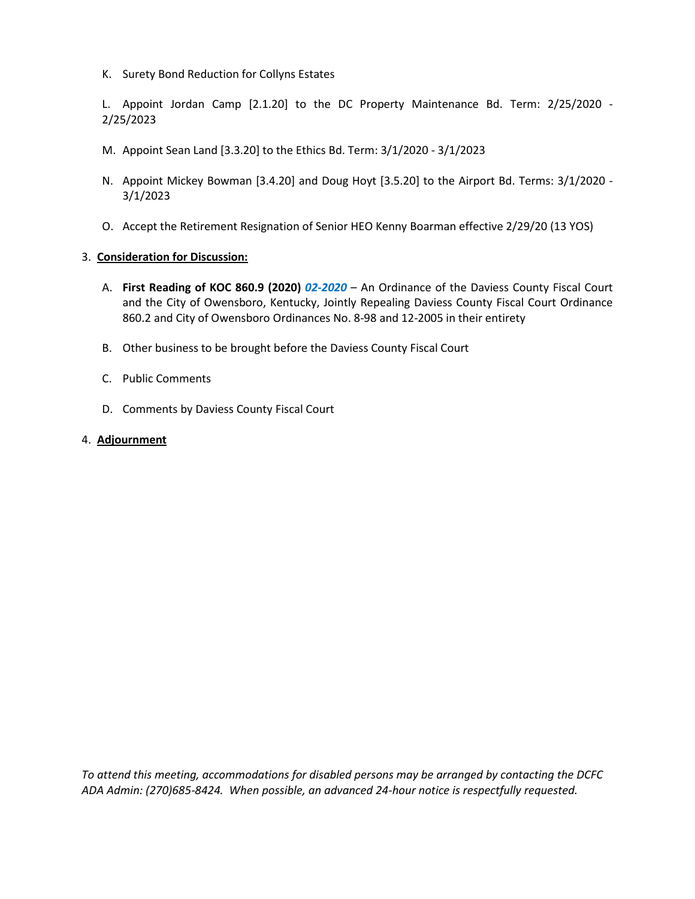K. Surety Bond Reduction for Collyns Estates

L. Appoint Jordan Camp [2.1.20] to the DC Property Maintenance Bd. Term: 2/25/2020 - 2/25/2023

- M. Appoint Sean Land [3.3.20] to the Ethics Bd. Term: 3/1/2020 3/1/2023
- N. Appoint Mickey Bowman [3.4.20] and Doug Hoyt [3.5.20] to the Airport Bd. Terms: 3/1/2020 3/1/2023
- O. Accept the Retirement Resignation of Senior HEO Kenny Boarman effective 2/29/20 (13 YOS)

#### 3. **Consideration for Discussion:**

- A. **First Reading of KOC 860.9 (2020)** *02-2020* An Ordinance of the Daviess County Fiscal Court and the City of Owensboro, Kentucky, Jointly Repealing Daviess County Fiscal Court Ordinance 860.2 and City of Owensboro Ordinances No. 8-98 and 12-2005 in their entirety
- B. Other business to be brought before the Daviess County Fiscal Court
- C. Public Comments
- D. Comments by Daviess County Fiscal Court

#### 4. **Adjournment**

*To attend this meeting, accommodations for disabled persons may be arranged by contacting the DCFC ADA Admin: (270)685-8424. When possible, an advanced 24-hour notice is respectfully requested.*